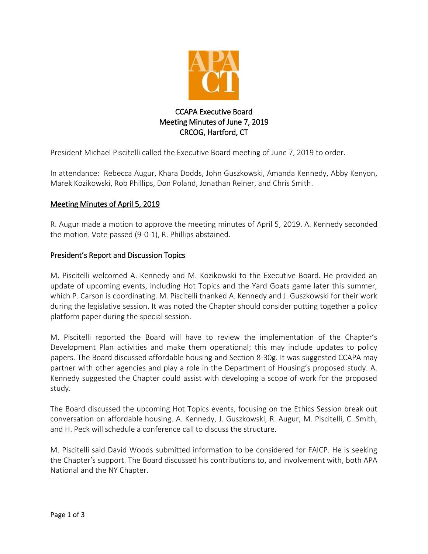

# CCAPA Executive Board Meeting Minutes of June 7, 2019 CRCOG, Hartford, CT

President Michael Piscitelli called the Executive Board meeting of June 7, 2019 to order.

In attendance: Rebecca Augur, Khara Dodds, John Guszkowski, Amanda Kennedy, Abby Kenyon, Marek Kozikowski, Rob Phillips, Don Poland, Jonathan Reiner, and Chris Smith.

# Meeting Minutes of April 5, 2019

R. Augur made a motion to approve the meeting minutes of April 5, 2019. A. Kennedy seconded the motion. Vote passed (9-0-1), R. Phillips abstained.

## President's Report and Discussion Topics

M. Piscitelli welcomed A. Kennedy and M. Kozikowski to the Executive Board. He provided an update of upcoming events, including Hot Topics and the Yard Goats game later this summer, which P. Carson is coordinating. M. Piscitelli thanked A. Kennedy and J. Guszkowski for their work during the legislative session. It was noted the Chapter should consider putting together a policy platform paper during the special session.

M. Piscitelli reported the Board will have to review the implementation of the Chapter's Development Plan activities and make them operational; this may include updates to policy papers. The Board discussed affordable housing and Section 8-30g. It was suggested CCAPA may partner with other agencies and play a role in the Department of Housing's proposed study. A. Kennedy suggested the Chapter could assist with developing a scope of work for the proposed study.

The Board discussed the upcoming Hot Topics events, focusing on the Ethics Session break out conversation on affordable housing. A. Kennedy, J. Guszkowski, R. Augur, M. Piscitelli, C. Smith, and H. Peck will schedule a conference call to discuss the structure.

M. Piscitelli said David Woods submitted information to be considered for FAICP. He is seeking the Chapter's support. The Board discussed his contributions to, and involvement with, both APA National and the NY Chapter.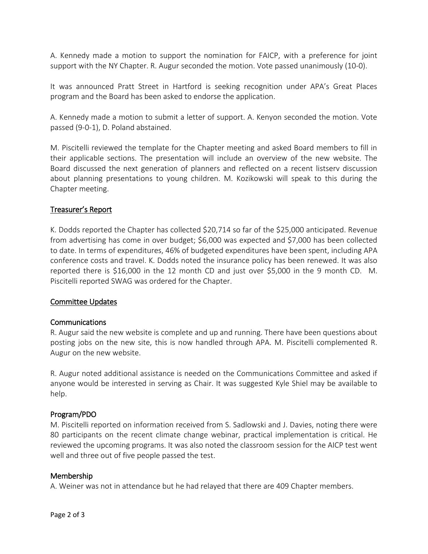A. Kennedy made a motion to support the nomination for FAICP, with a preference for joint support with the NY Chapter. R. Augur seconded the motion. Vote passed unanimously (10-0).

It was announced Pratt Street in Hartford is seeking recognition under APA's Great Places program and the Board has been asked to endorse the application.

A. Kennedy made a motion to submit a letter of support. A. Kenyon seconded the motion. Vote passed (9-0-1), D. Poland abstained.

M. Piscitelli reviewed the template for the Chapter meeting and asked Board members to fill in their applicable sections. The presentation will include an overview of the new website. The Board discussed the next generation of planners and reflected on a recent listserv discussion about planning presentations to young children. M. Kozikowski will speak to this during the Chapter meeting.

## Treasurer's Report

K. Dodds reported the Chapter has collected \$20,714 so far of the \$25,000 anticipated. Revenue from advertising has come in over budget; \$6,000 was expected and \$7,000 has been collected to date. In terms of expenditures, 46% of budgeted expenditures have been spent, including APA conference costs and travel. K. Dodds noted the insurance policy has been renewed. It was also reported there is \$16,000 in the 12 month CD and just over \$5,000 in the 9 month CD. M. Piscitelli reported SWAG was ordered for the Chapter.

## Committee Updates

## Communications

R. Augur said the new website is complete and up and running. There have been questions about posting jobs on the new site, this is now handled through APA. M. Piscitelli complemented R. Augur on the new website.

R. Augur noted additional assistance is needed on the Communications Committee and asked if anyone would be interested in serving as Chair. It was suggested Kyle Shiel may be available to help.

## Program/PDO

M. Piscitelli reported on information received from S. Sadlowski and J. Davies, noting there were 80 participants on the recent climate change webinar, practical implementation is critical. He reviewed the upcoming programs. It was also noted the classroom session for the AICP test went well and three out of five people passed the test.

#### Membership

A. Weiner was not in attendance but he had relayed that there are 409 Chapter members.